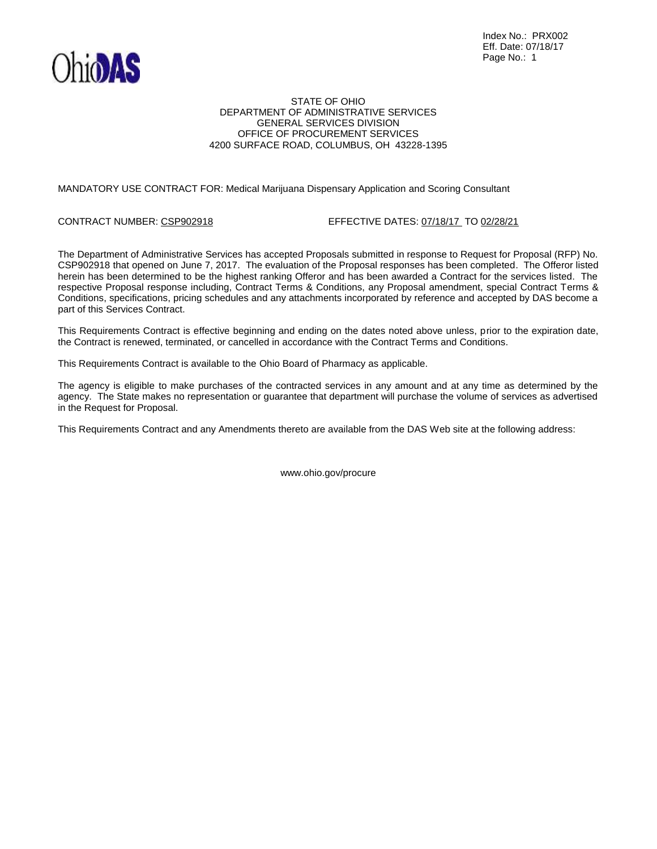

## STATE OF OHIO DEPARTMENT OF ADMINISTRATIVE SERVICES GENERAL SERVICES DIVISION OFFICE OF PROCUREMENT SERVICES 4200 SURFACE ROAD, COLUMBUS, OH 43228-1395

## MANDATORY USE CONTRACT FOR: Medical Marijuana Dispensary Application and Scoring Consultant

### CONTRACT NUMBER: CSP902918 EFFECTIVE DATES: 07/18/17 TO 02/28/21

The Department of Administrative Services has accepted Proposals submitted in response to Request for Proposal (RFP) No. CSP902918 that opened on June 7, 2017. The evaluation of the Proposal responses has been completed. The Offeror listed herein has been determined to be the highest ranking Offeror and has been awarded a Contract for the services listed. The respective Proposal response including, Contract Terms & Conditions, any Proposal amendment, special Contract Terms & Conditions, specifications, pricing schedules and any attachments incorporated by reference and accepted by DAS become a part of this Services Contract.

This Requirements Contract is effective beginning and ending on the dates noted above unless, prior to the expiration date, the Contract is renewed, terminated, or cancelled in accordance with the Contract Terms and Conditions.

This Requirements Contract is available to the Ohio Board of Pharmacy as applicable.

The agency is eligible to make purchases of the contracted services in any amount and at any time as determined by the agency. The State makes no representation or guarantee that department will purchase the volume of services as advertised in the Request for Proposal.

This Requirements Contract and any Amendments thereto are available from the DAS Web site at the following address:

www.ohio.gov/procure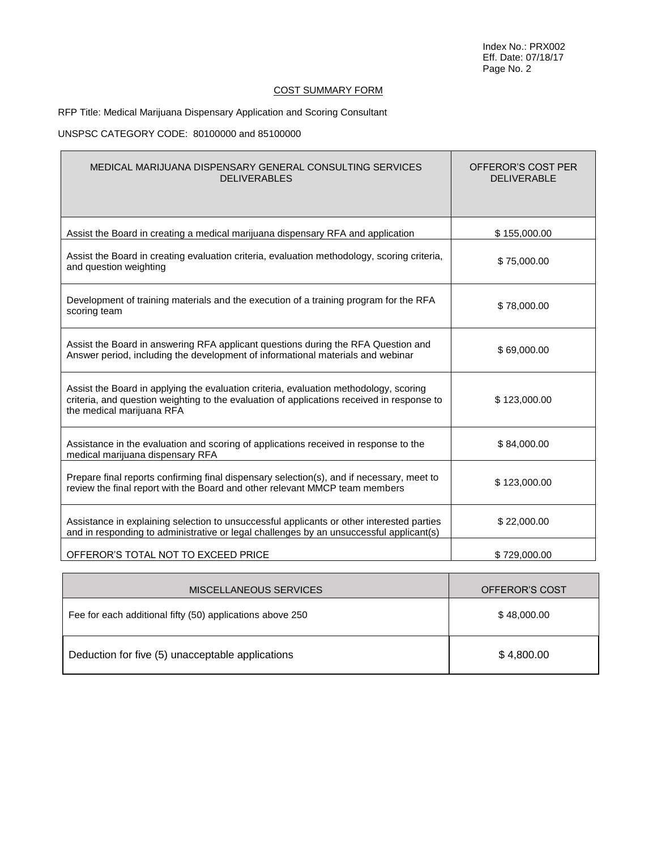# COST SUMMARY FORM

# RFP Title: Medical Marijuana Dispensary Application and Scoring Consultant

## UNSPSC CATEGORY CODE: 80100000 and 85100000

 $\blacksquare$ 

| MEDICAL MARIJUANA DISPENSARY GENERAL CONSULTING SERVICES<br><b>DELIVERABLES</b>                                                                                                                                  | OFFEROR'S COST PER<br><b>DELIVERABLE</b> |
|------------------------------------------------------------------------------------------------------------------------------------------------------------------------------------------------------------------|------------------------------------------|
| Assist the Board in creating a medical marijuana dispensary RFA and application                                                                                                                                  | \$155,000.00                             |
| Assist the Board in creating evaluation criteria, evaluation methodology, scoring criteria,<br>and question weighting                                                                                            | \$75,000.00                              |
| Development of training materials and the execution of a training program for the RFA<br>scoring team                                                                                                            | \$78,000.00                              |
| Assist the Board in answering RFA applicant questions during the RFA Question and<br>Answer period, including the development of informational materials and webinar                                             | \$69,000.00                              |
| Assist the Board in applying the evaluation criteria, evaluation methodology, scoring<br>criteria, and question weighting to the evaluation of applications received in response to<br>the medical marijuana RFA | \$123,000.00                             |
| Assistance in the evaluation and scoring of applications received in response to the<br>medical marijuana dispensary RFA                                                                                         | \$84,000.00                              |
| Prepare final reports confirming final dispensary selection(s), and if necessary, meet to<br>review the final report with the Board and other relevant MMCP team members                                         | \$123,000.00                             |
| Assistance in explaining selection to unsuccessful applicants or other interested parties<br>and in responding to administrative or legal challenges by an unsuccessful applicant(s)                             | \$22,000.00                              |
| OFFEROR'S TOTAL NOT TO EXCEED PRICE                                                                                                                                                                              | \$729,000.00                             |

| MISCELLANEOUS SERVICES                                    | OFFEROR'S COST |
|-----------------------------------------------------------|----------------|
| Fee for each additional fifty (50) applications above 250 | \$48,000.00    |
| Deduction for five (5) unacceptable applications          | \$4,800.00     |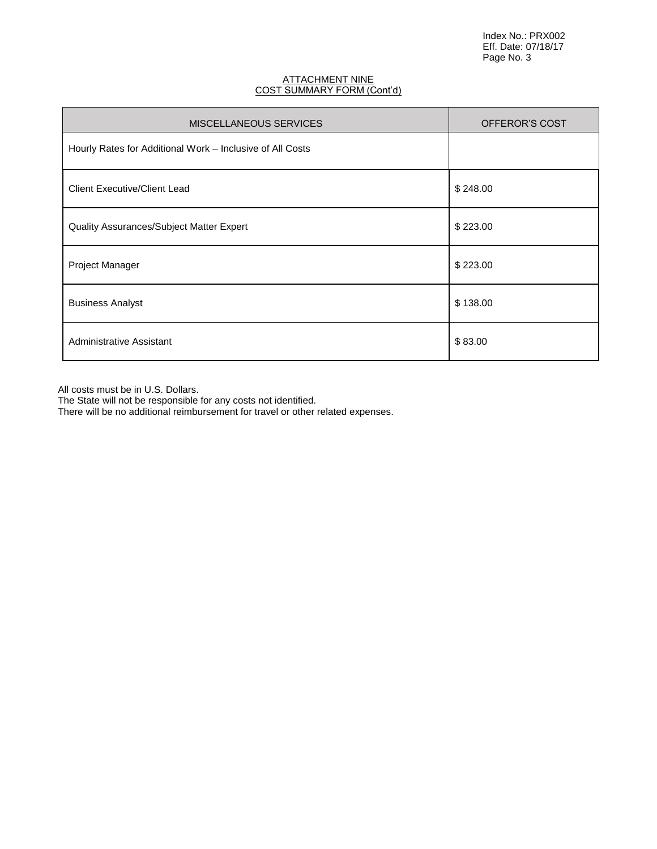## <u>ATTACHMENT NINE</u> COST SUMMARY FORM (Cont'd)

| <b>MISCELLANEOUS SERVICES</b>                             | OFFEROR'S COST |
|-----------------------------------------------------------|----------------|
| Hourly Rates for Additional Work – Inclusive of All Costs |                |
| <b>Client Executive/Client Lead</b>                       | \$248.00       |
| Quality Assurances/Subject Matter Expert                  | \$223.00       |
| Project Manager                                           | \$223.00       |
| <b>Business Analyst</b>                                   | \$138.00       |
| Administrative Assistant                                  | \$83.00        |

All costs must be in U.S. Dollars.

The State will not be responsible for any costs not identified.

There will be no additional reimbursement for travel or other related expenses.